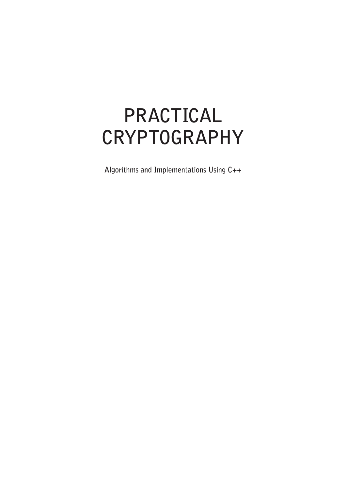# **PRACTICAL CRYPTOGRAPHY**

**Algorithms and Implementations Using C++**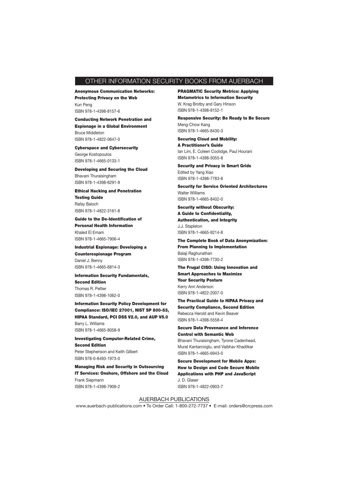#### OTHER INFORMATION SECURITY BOOKS FROM AUERBACH

Anonymous Communication Networks: Protecting Privacy on the Web Kun Peng ISBN 978-1-4398-8157-6

Conducting Network Penetration and Espionage in a Global Environment Bruce Middleton ISBN 978-1-4822-0647-0

Cyberspace and Cybersecurity George Kostopoulos ISBN 978-1-4665-0133-1

Developing and Securing the Cloud Bhavani Thuraisingham ISBN 978-1-4398-6291-9

Ethical Hacking and Penetration Testing Guide Rafay Baloch ISBN 978-1-4822-3161-8

Guide to the De-Identification of Personal Health Information Khaled El Emam ISBN 978-1-4665-7906-4

Industrial Espionage: Developing a Counterespionage Program

Daniel J. Benny ISBN 978-1-4665-6814-3

Information Security Fundamentals, Second Edition Thomas R. Peltier ISBN 978-1-4398-1062-0

Information Security Policy Development for Compliance: ISO/IEC 27001, NIST SP 800-53, HIPAA Standard, PCI DSS V2.0, and AUP V5.0 Barry L. Williams

ISBN 978-1-4665-8058-9

Investigating Computer-Related Crime, Second Edition Peter Stephenson and Keith Gilbert

ISBN 978-0-8493-1973-0

Managing Risk and Security in Outsourcing IT Services: Onshore, Offshore and the Cloud Frank Siepmann ISBN 978-1-4398-7909-2

PRAGMATIC Security Metrics: Applying Metametrics to Information Security W. Krag Brotby and Gary Hinson ISBN 978-1-4398-8152-1

Responsive Security: Be Ready to Be Secure Meng-Chow Kang ISBN 978-1-4665-8430-3

Securing Cloud and Mobility: A Practitioner's Guide Ian Lim, E. Coleen Coolidge, Paul Hourani

ISBN 978-1-4398-5055-8

Security and Privacy in Smart Grids Edited by Yang Xiao ISBN 978-1-4398-7783-8

Security for Service Oriented Architectures Walter Williams ISBN 978-1-4665-8402-0

Security without Obscurity: **A Guide to Confidentiality,** Authentication, and Integrity J.J. Stapleton ISBN 978-1-4665-9214-8

The Complete Book of Data Anonymization: From Planning to Implementation Balaji Raghunathan ISBN 978-1-4398-7730-2

The Frugal CISO: Using Innovation and Smart Approaches to Maximize Your Security Posture Kerry Ann Anderson ISBN 978-1-4822-2007-0

The Practical Guide to HIPAA Privacy and Security Compliance, Second Edition Rebecca Herold and Kevin Beaver ISBN 978-1-4398-5558-4

Secure Data Provenance and Inference Control with Semantic Web Bhavani Thuraisingham, Tyrone Cadenhead, Murat Kantarcioglu, and Vaibhav Khadilkar

ISBN 978-1-4665-6943-0

Secure Development for Mobile Apps: How to Design and Code Secure Mobile Applications with PHP and JavaScript J. D. Glaser ISBN 978-1-4822-0903-7

AUERBACH PUBLICATIONS

www.auerbach-publications.com • To Order Call: 1-800-272-7737 • E-mail: orders@crcpress.com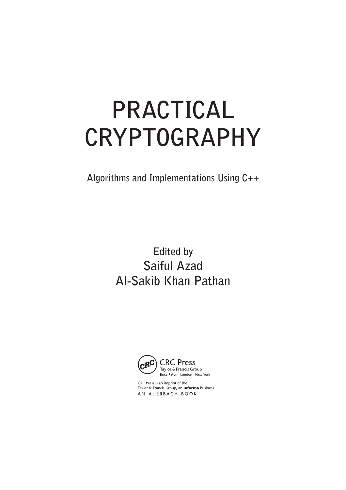# **PRACTICAL CRYPTOGRAPHY**

**Algorithms and Implementations Using C++**

## **Edited by Saiful Azad Al-Sakib Khan Pathan**



CRC Press is an imprint of the Taylor & Francis Group, an *informa* business AN AUERBACH BOOK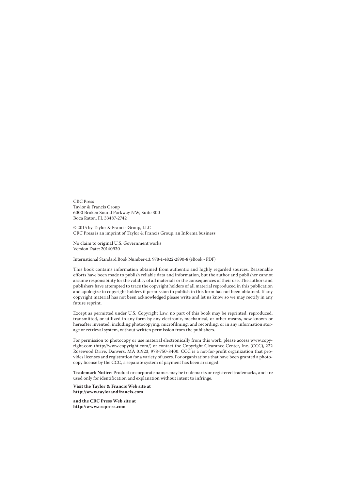CRC Press Taylor & Francis Group 6000 Broken Sound Parkway NW, Suite 300 Boca Raton, FL 33487-2742

© 2015 by Taylor & Francis Group, LLC CRC Press is an imprint of Taylor & Francis Group, an Informa business

No claim to original U.S. Government works Version Date: 20140930

International Standard Book Number-13: 978-1-4822-2890-8 (eBook - PDF)

This book contains information obtained from authentic and highly regarded sources. Reasonable efforts have been made to publish reliable data and information, but the author and publisher cannot assume responsibility for the validity of all materials or the consequences of their use. The authors and publishers have attempted to trace the copyright holders of all material reproduced in this publication and apologize to copyright holders if permission to publish in this form has not been obtained. If any copyright material has not been acknowledged please write and let us know so we may rectify in any future reprint.

Except as permitted under U.S. Copyright Law, no part of this book may be reprinted, reproduced, transmitted, or utilized in any form by any electronic, mechanical, or other means, now known or hereafter invented, including photocopying, microfilming, and recording, or in any information storage or retrieval system, without written permission from the publishers.

For permission to photocopy or use material electronically from this work, please access www.copyright.com (http://www.copyright.com/) or contact the Copyright Clearance Center, Inc. (CCC), 222 Rosewood Drive, Danvers, MA 01923, 978-750-8400. CCC is a not-for-profit organization that provides licenses and registration for a variety of users. For organizations that have been granted a photocopy license by the CCC, a separate system of payment has been arranged.

**Trademark Notice:** Product or corporate names may be trademarks or registered trademarks, and are used only for identification and explanation without intent to infringe.

**Visit the Taylor & Francis Web site at http://www.taylorandfrancis.com**

**and the CRC Press Web site at http://www.crcpress.com**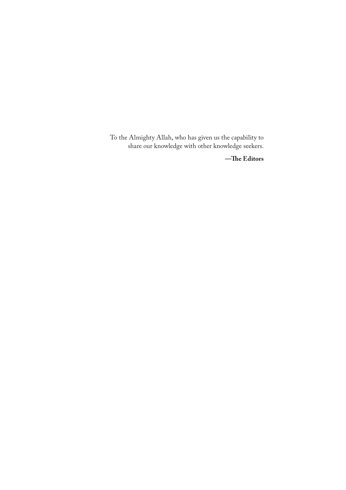To the Almighty Allah, who has given us the capability to share our knowledge with other knowledge seekers.

 $-\!$  The Editors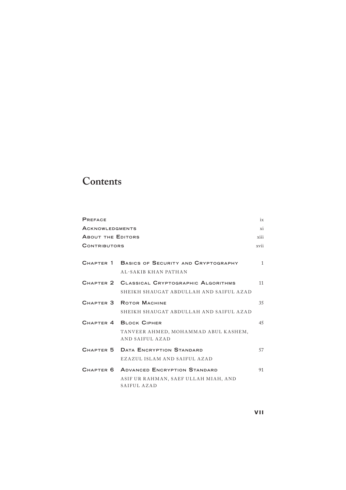## **Contents**

| <b>PREFACE</b>           |                                                                                               | ix           |
|--------------------------|-----------------------------------------------------------------------------------------------|--------------|
| ACKNOWLEDGMENTS          |                                                                                               |              |
| <b>ABOUT THE EDITORS</b> |                                                                                               | xiii         |
| <b>CONTRIBUTORS</b>      |                                                                                               | xvii         |
|                          |                                                                                               |              |
|                          | CHAPTER 1 BASICS OF SECURITY AND CRYPTOGRAPHY                                                 | $\mathbf{1}$ |
|                          | AL-SAKIB KHAN PATHAN                                                                          |              |
|                          | CHAPTER 2 CLASSICAL CRYPTOGRAPHIC ALGORITHMS                                                  | 11           |
|                          | SHEIKH SHAUGAT ABDULLAH AND SAIFUL AZAD                                                       |              |
|                          | CHAPTER 3 ROTOR MACHINE                                                                       | 35           |
|                          | SHEIKH SHAUGAT ABDULLAH AND SAIFUL AZAD                                                       |              |
|                          | CHAPTER 4 BLOCK CIPHER                                                                        | 45           |
|                          | TANVEER AHMED, MOHAMMAD ABUL KASHEM,<br>AND SAIFUL AZAD                                       |              |
|                          | CHAPTER 5 DATA ENCRYPTION STANDARD                                                            | 57           |
|                          | EZAZUL ISLAM AND SAIFUL AZAD                                                                  |              |
|                          | CHAPTER 6 ADVANCED ENCRYPTION STANDARD<br>ASIF UR RAHMAN, SAEF ULLAH MIAH, AND<br>SAIFUL AZAD | 91           |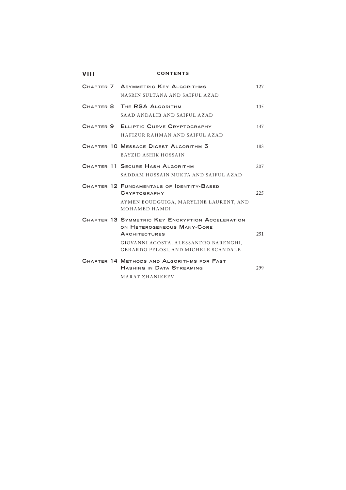#### **VIII** CONTENTS

| CHAPTER 7 ASYMMETRIC KEY ALGORITHMS<br>NASRIN SULTANA AND SAIFUL AZAD                                                                                                            | 127 |
|----------------------------------------------------------------------------------------------------------------------------------------------------------------------------------|-----|
| CHAPTER 8 THE RSA ALGORITHM<br>SAAD ANDALIB AND SAIFUL AZAD                                                                                                                      | 135 |
| CHAPTER 9 ELLIPTIC CURVE CRYPTOGRAPHY<br>HAFIZUR RAHMAN AND SAIFUL AZAD                                                                                                          | 147 |
| CHAPTER 10 MESSAGE DIGEST ALGORITHM 5<br><b>BAYZID ASHIK HOSSAIN</b>                                                                                                             | 183 |
| CHAPTER 11 SECURE HASH ALGORITHM<br>SADDAM HOSSAIN MUKTA AND SAIFUL AZAD                                                                                                         | 207 |
| CHAPTER 12 FUNDAMENTALS OF IDENTITY-BASED<br>CRYPTOGRAPHY<br>AYMEN BOUDGUIGA, MARYLINE LAURENT, AND<br>MOHAMED HAMDI                                                             | 225 |
| CHAPTER 13 SYMMETRIC KEY ENCRYPTION ACCELERATION<br>ON HETEROGENEOUS MANY-CORE<br>ARCHITECTURES<br>GIOVANNI AGOSTA, ALESSANDRO BARENGHI,<br>GERARDO PELOSI, AND MICHELE SCANDALE | 251 |
| CHAPTER 14 METHODS AND ALGORITHMS FOR FAST<br><b>HASHING IN DATA STREAMING</b><br>MARAT ZHANIKEEV                                                                                | 299 |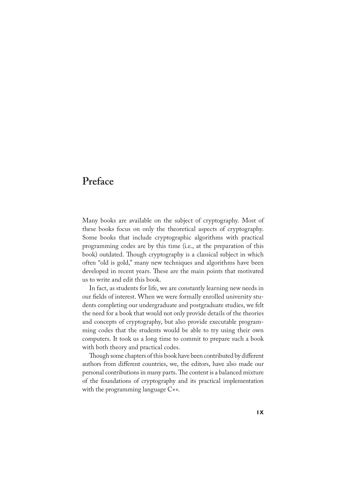## **Preface**

Many books are available on the subject of cryptography. Most of these books focus on only the theoretical aspects of cryptography. Some books that include cryptographic algorithms with practical programming codes are by this time (i.e., at the preparation of this book) outdated. Though cryptography is a classical subject in which often "old is gold," many new techniques and algorithms have been developed in recent years. These are the main points that motivated us to write and edit this book.

In fact, as students for life, we are constantly learning new needs in our fields of interest. When we were formally enrolled university students completing our undergraduate and postgraduate studies, we felt the need for a book that would not only provide details of the theories and concepts of cryptography, but also provide executable programming codes that the students would be able to try using their own computers. It took us a long time to commit to prepare such a book with both theory and practical codes.

Though some chapters of this book have been contributed by different authors from different countries, we, the editors, have also made our personal contributions in many parts. The content is a balanced mixture of the foundations of cryptography and its practical implementation with the programming language C++.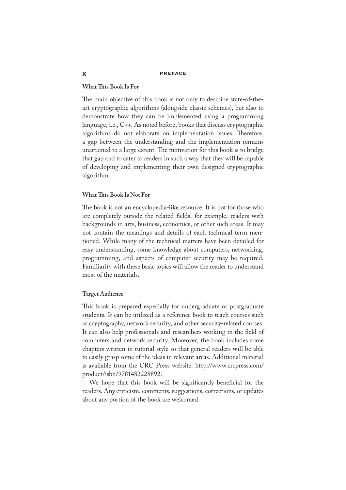#### **X** PREFACE

#### What This Book Is For

The main objective of this book is not only to describe state-of-theart cryptographic algorithms (alongside classic schemes), but also to demonstrate how they can be implemented using a programming language, i.e., C++. As noted before, books that discuss cryptographic algorithms do not elaborate on implementation issues. Therefore, a gap between the understanding and the implementation remains unattained to a large extent. The motivation for this book is to bridge that gap and to cater to readers in such a way that they will be capable of developing and implementing their own designed cryptographic algorithm.

#### **What This Book Is Not For**

The book is not an encyclopedia-like resource. It is not for those who are completely outside the related fields, for example, readers with backgrounds in arts, business, economics, or other such areas. It may not contain the meanings and details of each technical term mentioned. While many of the technical matters have been detailed for easy understanding, some knowledge about computers, networking, programming, and aspects of computer security may be required. Familiarity with these basic topics will allow the reader to understand most of the materials.

#### **Target Audience**

This book is prepared especially for undergraduate or postgraduate students. It can be utilized as a reference book to teach courses such as cryptography, network security, and other security-related courses. It can also help professionals and researchers working in the field of computers and network security. Moreover, the book includes some chapters written in tutorial style so that general readers will be able to easily grasp some of the ideas in relevant areas. Additional material is available from the CRC Press website: http://www.crcpress.com/ product/isbn/9781482228892.

We hope that this book will be significantly beneficial for the readers. Any criticism, comments, suggestions, corrections, or updates about any portion of the book are welcomed.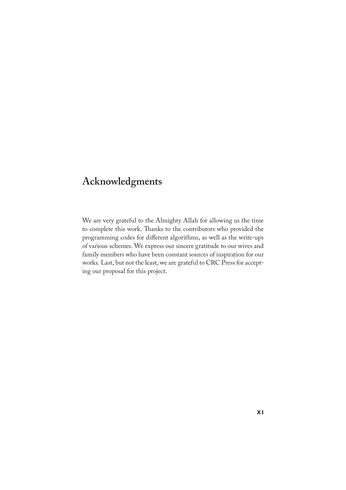## **Acknowledgments**

We are very grateful to the Almighty Allah for allowing us the time to complete this work. Thanks to the contributors who provided the programming codes for different algorithms, as well as the write-ups of various schemes. We express our sincere gratitude to our wives and family members who have been constant sources of inspiration for our works. Last, but not the least, we are grateful to CRC Press for accepting our proposal for this project.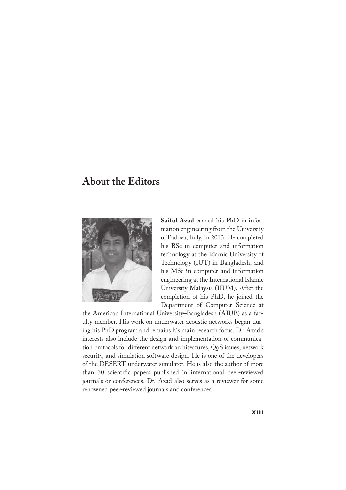## **About the Editors**



**Saiful Azad** earned his PhD in information engineering from the University of Padova, Italy, in 2013. He completed his BSc in computer and information technology at the Islamic University of Technology (IUT) in Bangladesh, and his MSc in computer and information engineering at the International Islamic University Malaysia (IIUM). After the completion of his PhD, he joined the Department of Computer Science at

the American International University–Bangladesh (AIUB) as a faculty member. His work on underwater acoustic networks began during his PhD program and remains his main research focus. Dr. Azad's interests also include the design and implementation of communication protocols for different network architectures, QoS issues, network security, and simulation software design. He is one of the developers of the DESERT underwater simulator. He is also the author of more than 30 scientific papers published in international peer-reviewed journals or conferences. Dr. Azad also serves as a reviewer for some renowned peer-reviewed journals and conferences.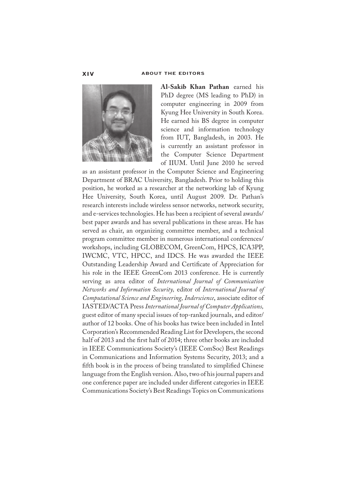

**Al-Sakib Khan Pathan** earned his PhD degree (MS leading to PhD) in computer engineering in 2009 from Kyung Hee University in South Korea. He earned his BS degree in computer science and information technology from IUT, Bangladesh, in 2003. He is currently an assistant professor in the Computer Science Department of IIUM. Until June 2010 he served

as an assistant professor in the Computer Science and Engineering Department of BRAC University, Bangladesh. Prior to holding this position, he worked as a researcher at the networking lab of Kyung Hee University, South Korea, until August 2009. Dr. Pathan's research interests include wireless sensor networks, network security, and e-services technologies. He has been a recipient of several awards/ best paper awards and has several publications in these areas. He has served as chair, an organizing committee member, and a technical program committee member in numerous international conferences/ workshops, including GLOBECOM, GreenCom, HPCS, ICA3PP, IWCMC, VTC, HPCC, and IDCS. He was awarded the IEEE Outstanding Leadership Award and Certificate of Appreciation for his role in the IEEE GreenCom 2013 conference. He is currently serving as area editor of *International Journal of Communication Networks and Information Security,* editor of *International Journal of Computational Science and Engineering, Inderscience*, associate editor of IASTED/ACTA Press *International Journal of Computer Applications,* guest editor of many special issues of top-ranked journals, and editor/ author of 12 books. One of his books has twice been included in Intel Corporation's Recommended Reading List for Developers, the second half of 2013 and the first half of 2014; three other books are included in IEEE Communications Society's (IEEE ComSoc) Best Readings in Communications and Information Systems Security, 2013; and a fifth book is in the process of being translated to simplified Chinese language from the English version. Also, two of his journal papers and one conference paper are included under different categories in IEEE Communications Society's Best Readings Topics on Communications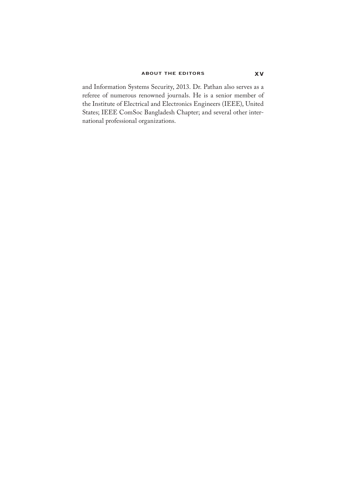#### ABOUT THE EDITORS **X V**

and Information Systems Security, 2013. Dr. Pathan also serves as a referee of numerous renowned journals. He is a senior member of the Institute of Electrical and Electronics Engineers (IEEE), United States; IEEE ComSoc Bangladesh Chapter; and several other international professional organizations.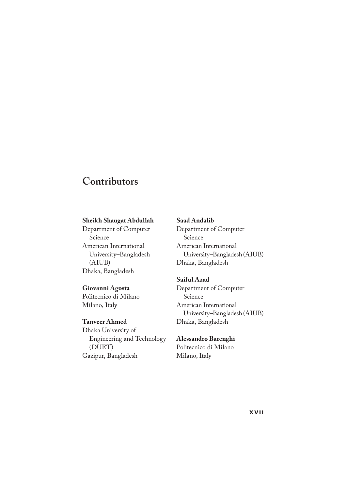## **Contributors**

#### **Sheikh Shaugat Abdullah**

Department of Computer Science American International University–Bangladesh (AIUB) Dhaka, Bangladesh

#### **Giovanni Agosta**

Politecnico di Milano Milano, Italy

#### **Tanveer Ahmed**

Dhaka University of Engineering and Technology (DUET) Gazipur, Bangladesh

### **Saad Andalib**

Department of Computer Science American International University–Bangladesh (AIUB) Dhaka, Bangladesh

#### **Saiful Azad**

Department of Computer Science American International University–Bangladesh (AIUB) Dhaka, Bangladesh

#### **Alessandro Barenghi**

Politecnico di Milano Milano, Italy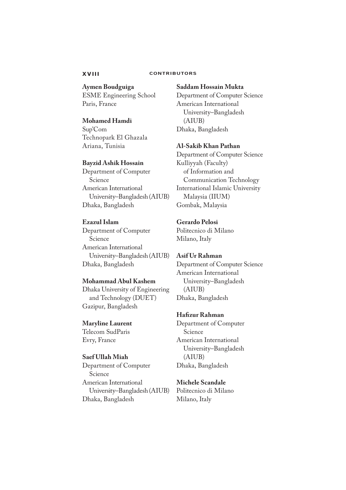#### **X VIII** CONTRIBUTORS

**Aymen Boudguiga** ESME Engineering School Paris, France

**Mohamed Hamdi** Sup'Com Technopark El Ghazala

## **Bayzid Ashik Hossain**

Ariana, Tunisia

Department of Computer Science American International University–Bangladesh (AIUB) Dhaka, Bangladesh

#### **Ezazul Islam**

Department of Computer Science American International University–Bangladesh (AIUB) Dhaka, Bangladesh

#### **Mohammad Abul Kashem**

Dhaka University of Engineering and Technology (DUET) Gazipur, Bangladesh

**Maryline Laurent** Telecom SudParis Evry, France

#### **Saef Ullah Miah**

Department of Computer Science American International University–Bangladesh (AIUB) Dhaka, Bangladesh

#### **Saddam Hossain Mukta**

Department of Computer Science American International University–Bangladesh (AIUB) Dhaka, Bangladesh

#### **Al-Sakib Khan Pathan**

Department of Computer Science Kulliyyah (Faculty) of Information and Communication Technology International Islamic University Malaysia (IIUM) Gombak, Malaysia

#### **Gerardo Pelosi**

Politecnico di Milano Milano, Italy

#### **Asif Ur Rahman**

Department of Computer Science American International University–Bangladesh (AIUB) Dhaka, Bangladesh

#### **Hafizur Rahman**

Department of Computer Science American International University–Bangladesh (AIUB) Dhaka, Bangladesh

#### **Michele Scandale**

Politecnico di Milano Milano, Italy